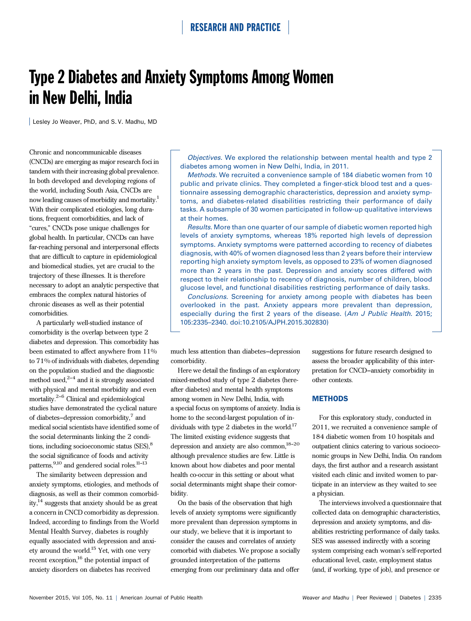# Type 2 Diabetes and Anxiety Symptoms Among Women in New Delhi, India

Lesley Jo Weaver, PhD, and S. V. Madhu, MD

Chronic and noncommunicable diseases (CNCDs) are emerging as major research foci in tandem with their increasing global prevalence. In both developed and developing regions of the world, including South Asia, CNCDs are now leading causes of morbidity and mortality.1 With their complicated etiologies, long durations, frequent comorbidities, and lack of "cures," CNCDs pose unique challenges for global health. In particular, CNCDs can have far-reaching personal and interpersonal effects that are difficult to capture in epidemiological and biomedical studies, yet are crucial to the trajectory of these illnesses. It is therefore necessary to adopt an analytic perspective that embraces the complex natural histories of chronic diseases as well as their potential comorbidities.

A particularly well-studied instance of comorbidity is the overlap between type 2 diabetes and depression. This comorbidity has been estimated to affect anywhere from  $11\%$ to 71% of individuals with diabetes, depending on the population studied and the diagnostic method used, $2-4$  and it is strongly associated with physical and mental morbidity and even mortality. $2-6$  Clinical and epidemiological studies have demonstrated the cyclical nature of diabetes--depression comorbidity, $\frac{7}{7}$  and medical social scientists have identified some of the social determinants linking the 2 conditions, including socioeconomic status (SES),<sup>8</sup> the social significance of foods and activity patterns,  $9,10$  and gendered social roles.<sup>11-13</sup>

The similarity between depression and anxiety symptoms, etiologies, and methods of diagnosis, as well as their common comorbidity, $14$  suggests that anxiety should be as great a concern in CNCD comorbidity as depression. Indeed, according to findings from the World Mental Health Survey, diabetes is roughly equally associated with depression and anxiety around the world.15 Yet, with one very recent exception,<sup>16</sup> the potential impact of anxiety disorders on diabetes has received

Objectives. We explored the relationship between mental health and type 2 diabetes among women in New Delhi, India, in 2011.

Methods. We recruited a convenience sample of 184 diabetic women from 10 public and private clinics. They completed a finger-stick blood test and a questionnaire assessing demographic characteristics, depression and anxiety symptoms, and diabetes-related disabilities restricting their performance of daily tasks. A subsample of 30 women participated in follow-up qualitative interviews at their homes.

Results. More than one quarter of our sample of diabetic women reported high levels of anxiety symptoms, whereas 18% reported high levels of depression symptoms. Anxiety symptoms were patterned according to recency of diabetes diagnosis, with 40% of women diagnosed less than 2 years before their interview reporting high anxiety symptom levels, as opposed to 23% of women diagnosed more than 2 years in the past. Depression and anxiety scores differed with respect to their relationship to recency of diagnosis, number of children, blood glucose level, and functional disabilities restricting performance of daily tasks.

Conclusions. Screening for anxiety among people with diabetes has been overlooked in the past. Anxiety appears more prevalent than depression, especially during the first 2 years of the disease. (Am J Public Health. 2015; 105:2335–2340. doi:10.2105/AJPH.2015.302830)

much less attention than diabetes--depression comorbidity.

Here we detail the findings of an exploratory mixed-method study of type 2 diabetes (hereafter diabetes) and mental health symptoms among women in New Delhi, India, with a special focus on symptoms of anxiety. India is home to the second-largest population of individuals with type 2 diabetes in the world. $17$ The limited existing evidence suggests that depression and anxiety are also common,  $18-20$ although prevalence studies are few. Little is known about how diabetes and poor mental health co-occur in this setting or about what social determinants might shape their comorbidity.

On the basis of the observation that high levels of anxiety symptoms were significantly more prevalent than depression symptoms in our study, we believe that it is important to consider the causes and correlates of anxiety comorbid with diabetes. We propose a socially grounded interpretation of the patterns emerging from our preliminary data and offer

suggestions for future research designed to assess the broader applicability of this interpretation for CNCD--anxiety comorbidity in other contexts.

#### **METHODS**

For this exploratory study, conducted in 2011, we recruited a convenience sample of 184 diabetic women from 10 hospitals and outpatient clinics catering to various socioeconomic groups in New Delhi, India. On random days, the first author and a research assistant visited each clinic and invited women to participate in an interview as they waited to see a physician.

The interviews involved a questionnaire that collected data on demographic characteristics, depression and anxiety symptoms, and disabilities restricting performance of daily tasks. SES was assessed indirectly with a scoring system comprising each woman's self-reported educational level, caste, employment status (and, if working, type of job), and presence or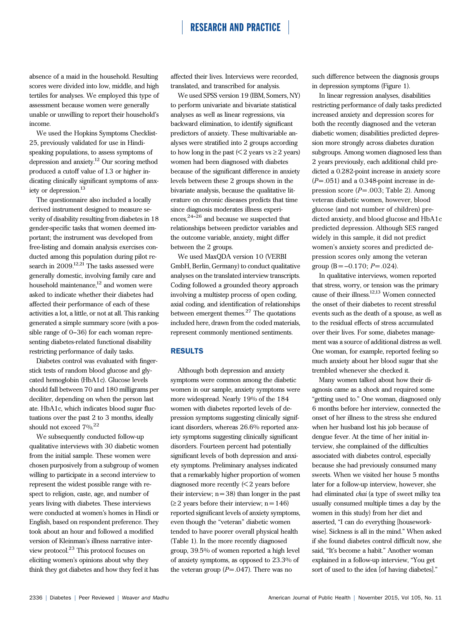absence of a maid in the household. Resulting scores were divided into low, middle, and high tertiles for analyses. We employed this type of assessment because women were generally unable or unwilling to report their household's income.

We used the Hopkins Symptoms Checklist-25, previously validated for use in Hindispeaking populations, to assess symptoms of depression and anxiety.12 Our scoring method produced a cutoff value of 1.3 or higher indicating clinically significant symptoms of anxiety or depression.<sup>13</sup>

The questionnaire also included a locally derived instrument designed to measure severity of disability resulting from diabetes in 18 gender-specific tasks that women deemed important; the instrument was developed from free-listing and domain analysis exercises conducted among this population during pilot research in 2009.<sup>12,21</sup> The tasks assessed were generally domestic, involving family care and household maintenance, $12$  and women were asked to indicate whether their diabetes had affected their performance of each of these activities a lot, a little, or not at all. This ranking generated a simple summary score (with a possible range of  $0-36$ ) for each woman representing diabetes-related functional disability restricting performance of daily tasks.

Diabetes control was evaluated with fingerstick tests of random blood glucose and glycated hemoglobin (HbA1c). Glucose levels should fall between 70 and 180 milligrams per deciliter, depending on when the person last ate. HbA1c, which indicates blood sugar fluctuations over the past 2 to 3 months, ideally should not exceed  $7\%$ <sup>22</sup>

We subsequently conducted follow-up qualitative interviews with 30 diabetic women from the initial sample. These women were chosen purposively from a subgroup of women willing to participate in a second interview to represent the widest possible range with respect to religion, caste, age, and number of years living with diabetes. These interviews were conducted at women's homes in Hindi or English, based on respondent preference. They took about an hour and followed a modified version of Kleinman's illness narrative interview protocol.<sup>23</sup> This protocol focuses on eliciting women's opinions about why they think they got diabetes and how they feel it has

affected their lives. Interviews were recorded, translated, and transcribed for analysis.

We used SPSS version 19 (IBM, Somers, NY) to perform univariate and bivariate statistical analyses as well as linear regressions, via backward elimination, to identify significant predictors of anxiety. These multivariable analyses were stratified into 2 groups according to how long in the past  $\leq 2$  years vs  $\geq 2$  years) women had been diagnosed with diabetes because of the significant difference in anxiety levels between these 2 groups shown in the bivariate analysis, because the qualitative literature on chronic diseases predicts that time since diagnosis moderates illness experi- $\mathrm{ences,}^{24-26}$  and because we suspected that relationships between predictor variables and the outcome variable, anxiety, might differ between the 2 groups.

We used MaxQDA version 10 (VERBI GmbH, Berlin, Germany) to conduct qualitative analyses on the translated interview transcripts. Coding followed a grounded theory approach involving a multistep process of open coding, axial coding, and identification of relationships between emergent themes. $27$  The quotations included here, drawn from the coded materials, represent commonly mentioned sentiments.

#### RESULTS

Although both depression and anxiety symptoms were common among the diabetic women in our sample, anxiety symptoms were more widespread. Nearly 19% of the 184 women with diabetes reported levels of depression symptoms suggesting clinically significant disorders, whereas 26.6% reported anxiety symptoms suggesting clinically significant disorders. Fourteen percent had potentially significant levels of both depression and anxiety symptoms. Preliminary analyses indicated that a remarkably higher proportion of women diagnosed more recently (< 2 years before their interview;  $n = 38$ ) than longer in the past  $(\geq 2$  years before their interview; n = 146) reported significant levels of anxiety symptoms, even though the "veteran" diabetic women tended to have poorer overall physical health (Table 1). In the more recently diagnosed group, 39.5% of women reported a high level of anxiety symptoms, as opposed to 23.3% of the veteran group  $(P = .047)$ . There was no

such difference between the diagnosis groups in depression symptoms (Figure 1).

In linear regression analyses, disabilities restricting performance of daily tasks predicted increased anxiety and depression scores for both the recently diagnosed and the veteran diabetic women; disabilities predicted depression more strongly across diabetes duration subgroups. Among women diagnosed less than 2 years previously, each additional child predicted a 0.282-point increase in anxiety score  $(P = .051)$  and a 0.348-point increase in depression score  $(P = .003;$  Table 2). Among veteran diabetic women, however, blood glucose (and not number of children) predicted anxiety, and blood glucose and HbA1c predicted depression. Although SES ranged widely in this sample, it did not predict women's anxiety scores and predicted depression scores only among the veteran group  $(B = -0.170; P = .024)$ .

In qualitative interviews, women reported that stress, worry, or tension was the primary cause of their illness.12,13 Women connected the onset of their diabetes to recent stressful events such as the death of a spouse, as well as to the residual effects of stress accumulated over their lives. For some, diabetes management was a source of additional distress as well. One woman, for example, reported feeling so much anxiety about her blood sugar that she trembled whenever she checked it.

Many women talked about how their diagnosis came as a shock and required some "getting used to." One woman, diagnosed only 6 months before her interview, connected the onset of her illness to the stress she endured when her husband lost his job because of dengue fever. At the time of her initial interview, she complained of the difficulties associated with diabetes control, especially because she had previously consumed many sweets. When we visited her house 5 months later for a follow-up interview, however, she had eliminated chai (a type of sweet milky tea usually consumed multiple times a day by the women in this study) from her diet and asserted, "I can do everything [houseworkwise]. Sickness is all in the mind." When asked if she found diabetes control difficult now, she said, "It's become a habit." Another woman explained in a follow-up interview, "You get sort of used to the idea [of having diabetes]."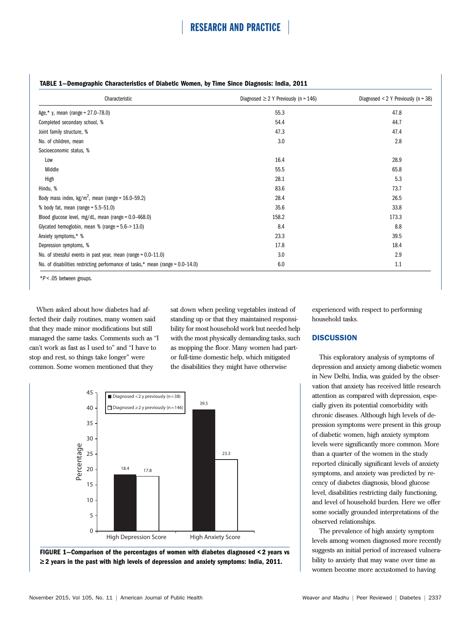#### TABLE 1—Demographic Characteristics of Diabetic Women, by Time Since Diagnosis: India, 2011

| Characteristic                                                                 | Diagnosed $\geq$ 2 Y Previously (n = 146) | Diagnosed < $2$ Y Previously (n = 38) |  |
|--------------------------------------------------------------------------------|-------------------------------------------|---------------------------------------|--|
| Age,* y, mean (range = $27.0 - 78.0$ )                                         | 55.3                                      | 47.8                                  |  |
| Completed secondary school, %                                                  | 54.4                                      | 44.7                                  |  |
| Joint family structure, %                                                      | 47.3                                      | 47.4                                  |  |
| No. of children, mean                                                          | 3.0                                       | 2.8                                   |  |
| Socioeconomic status, %                                                        |                                           |                                       |  |
| Low                                                                            | 16.4                                      | 28.9                                  |  |
| Middle                                                                         | 55.5                                      | 65.8                                  |  |
| High                                                                           | 28.1                                      | 5.3                                   |  |
| Hindu, %                                                                       | 83.6                                      | 73.7                                  |  |
| Body mass index, $kg/m^2$ , mean (range = 16.0-59.2)                           | 28.4                                      | 26.5                                  |  |
| % body fat, mean (range = $5.5-51.0$ )                                         | 35.6                                      | 33.8                                  |  |
| Blood glucose level, $mg/dL$ , mean (range = 0.0-468.0)                        | 158.2                                     | 173.3                                 |  |
| Glycated hemoglobin, mean $%$ (range = $5.6 \rightarrow 13.0$ )                | 8.4                                       | 8.8                                   |  |
| Anxiety symptoms,* %                                                           | 23.3                                      | 39.5                                  |  |
| Depression symptoms, %                                                         | 17.8                                      | 18.4                                  |  |
| No. of stressful events in past year, mean (range $= 0.0 - 11.0$ )             | 3.0                                       | 2.9                                   |  |
| No. of disabilities restricting performance of tasks,* mean (range = 0.0-14.0) | 6.0                                       | 1.1                                   |  |

\*P < .05 between groups.

When asked about how diabetes had affected their daily routines, many women said that they made minor modifications but still managed the same tasks. Comments such as "I can't work as fast as I used to" and "I have to stop and rest, so things take longer" were common. Some women mentioned that they

sat down when peeling vegetables instead of standing up or that they maintained responsibility for most household work but needed help with the most physically demanding tasks, such as mopping the floor. Many women had partor full-time domestic help, which mitigated the disabilities they might have otherwise





experienced with respect to performing household tasks.

#### **DISCUSSION**

This exploratory analysis of symptoms of depression and anxiety among diabetic women in New Delhi, India, was guided by the observation that anxiety has received little research attention as compared with depression, especially given its potential comorbidity with chronic diseases. Although high levels of depression symptoms were present in this group of diabetic women, high anxiety symptom levels were significantly more common. More than a quarter of the women in the study reported clinically significant levels of anxiety symptoms, and anxiety was predicted by recency of diabetes diagnosis, blood glucose level, disabilities restricting daily functioning, and level of household burden. Here we offer some socially grounded interpretations of the observed relationships.

The prevalence of high anxiety symptom levels among women diagnosed more recently suggests an initial period of increased vulnerability to anxiety that may wane over time as women become more accustomed to having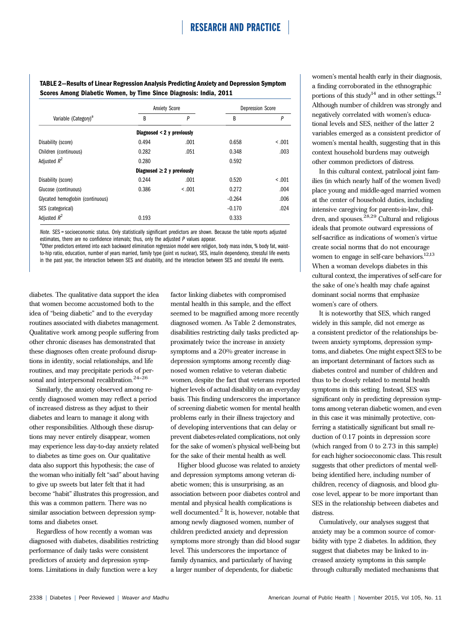TABLE 2—Results of Linear Regression Analysis Predicting Anxiety and Depression Symptom Scores Among Diabetic Women, by Time Since Diagnosis: India, 2011

|                                  | <b>Anxiety Score</b>            |         | <b>Depression Score</b> |         |
|----------------------------------|---------------------------------|---------|-------------------------|---------|
| Variable (Category) <sup>a</sup> | B                               | P       | B                       | P       |
|                                  | Diagnosed $<$ 2 y previously    |         |                         |         |
| Disability (score)               | 0.494                           | .001    | 0.658                   | < 0.001 |
| Children (continuous)            | 0.282                           | .051    | 0.348                   | .003    |
| Adjusted $R^2$                   | 0.280                           |         | 0.592                   |         |
|                                  | Diagnosed $\geq 2$ y previously |         |                         |         |
| Disability (score)               | 0.244                           | .001    | 0.520                   | < 0.001 |
| Glucose (continuous)             | 0.386                           | < 0.001 | 0.272                   | .004    |
| Glycated hemoglobin (continuous) |                                 |         | $-0.264$                | .006    |
| SES (categorical)                |                                 |         | $-0.170$                | .024    |
| Adjusted $R^2$                   | 0.193                           |         | 0.333                   |         |

Note. SES = socioeconomic status. Only statistically significant predictors are shown. Because the table reports adjusted estimates, there are no confidence intervals; thus, only the adjusted  $P$  values appear.

<sup>a</sup>Other predictors entered into each backward elimination regression model were religion, body mass index, % body fat, waistto-hip ratio, education, number of years married, family type (joint vs nuclear), SES, insulin dependency, stressful life events in the past year, the interaction between SES and disability, and the interaction between SES and stressful life events.

diabetes. The qualitative data support the idea that women become accustomed both to the idea of "being diabetic" and to the everyday routines associated with diabetes management. Qualitative work among people suffering from other chronic diseases has demonstrated that these diagnoses often create profound disruptions in identity, social relationships, and life routines, and may precipitate periods of personal and interpersonal recalibration. $24-26$ 

Similarly, the anxiety observed among recently diagnosed women may reflect a period of increased distress as they adjust to their diabetes and learn to manage it along with other responsibilities. Although these disruptions may never entirely disappear, women may experience less day-to-day anxiety related to diabetes as time goes on. Our qualitative data also support this hypothesis; the case of the woman who initially felt "sad" about having to give up sweets but later felt that it had become "habit" illustrates this progression, and this was a common pattern. There was no similar association between depression symptoms and diabetes onset.

Regardless of how recently a woman was diagnosed with diabetes, disabilities restricting performance of daily tasks were consistent predictors of anxiety and depression symptoms. Limitations in daily function were a key

factor linking diabetes with compromised mental health in this sample, and the effect seemed to be magnified among more recently diagnosed women. As Table 2 demonstrates, disabilities restricting daily tasks predicted approximately twice the increase in anxiety symptoms and a 20% greater increase in depression symptoms among recently diagnosed women relative to veteran diabetic women, despite the fact that veterans reported higher levels of actual disability on an everyday basis. This finding underscores the importance of screening diabetic women for mental health problems early in their illness trajectory and of developing interventions that can delay or prevent diabetes-related complications, not only for the sake of women's physical well-being but for the sake of their mental health as well.

Higher blood glucose was related to anxiety and depression symptoms among veteran diabetic women; this is unsurprising, as an association between poor diabetes control and mental and physical health complications is well documented. $<sup>2</sup>$  It is, however, notable that</sup> among newly diagnosed women, number of children predicted anxiety and depression symptoms more strongly than did blood sugar level. This underscores the importance of family dynamics, and particularly of having a larger number of dependents, for diabetic

women's mental health early in their diagnosis, a finding corroborated in the ethnographic portions of this study<sup>14</sup> and in other settings.<sup>12</sup> Although number of children was strongly and negatively correlated with women's educational levels and SES, neither of the latter 2 variables emerged as a consistent predictor of women's mental health, suggesting that in this context household burdens may outweigh other common predictors of distress.

In this cultural context, patrilocal joint families (in which nearly half of the women lived) place young and middle-aged married women at the center of household duties, including intensive caregiving for parents-in-law, children, and spouses.<sup>28,29</sup> Cultural and religious ideals that promote outward expressions of self-sacrifice as indications of women's virtue create social norms that do not encourage women to engage in self-care behaviors.<sup>12,13</sup> When a woman develops diabetes in this cultural context, the imperatives of self-care for the sake of one's health may chafe against dominant social norms that emphasize women's care of others.

It is noteworthy that SES, which ranged widely in this sample, did not emerge as a consistent predictor of the relationships between anxiety symptoms, depression symptoms, and diabetes. One might expect SES to be an important determinant of factors such as diabetes control and number of children and thus to be closely related to mental health symptoms in this setting. Instead, SES was significant only in predicting depression symptoms among veteran diabetic women, and even in this case it was minimally protective, conferring a statistically significant but small reduction of 0.17 points in depression score (which ranged from 0 to 2.73 in this sample) for each higher socioeconomic class. This result suggests that other predictors of mental wellbeing identified here, including number of children, recency of diagnosis, and blood glucose level, appear to be more important than SES in the relationship between diabetes and distress.

Cumulatively, our analyses suggest that anxiety may be a common source of comorbidity with type 2 diabetes. In addition, they suggest that diabetes may be linked to increased anxiety symptoms in this sample through culturally mediated mechanisms that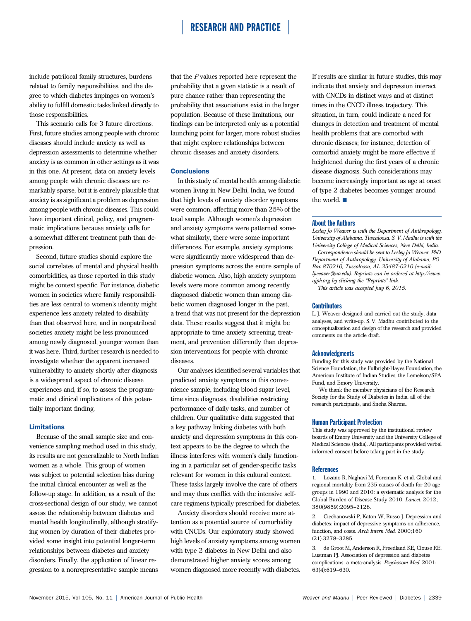include patrilocal family structures, burdens related to family responsibilities, and the degree to which diabetes impinges on women's ability to fulfill domestic tasks linked directly to those responsibilities.

This scenario calls for 3 future directions. First, future studies among people with chronic diseases should include anxiety as well as depression assessments to determine whether anxiety is as common in other settings as it was in this one. At present, data on anxiety levels among people with chronic diseases are remarkably sparse, but it is entirely plausible that anxiety is as significant a problem as depression among people with chronic diseases. This could have important clinical, policy, and programmatic implications because anxiety calls for a somewhat different treatment path than depression.

Second, future studies should explore the social correlates of mental and physical health comorbidities, as those reported in this study might be context specific. For instance, diabetic women in societies where family responsibilities are less central to women's identity might experience less anxiety related to disability than that observed here, and in nonpatrilocal societies anxiety might be less pronounced among newly diagnosed, younger women than it was here. Third, further research is needed to investigate whether the apparent increased vulnerability to anxiety shortly after diagnosis is a widespread aspect of chronic disease experiences and, if so, to assess the programmatic and clinical implications of this potentially important finding.

#### Limitations

Because of the small sample size and convenience sampling method used in this study, its results are not generalizable to North Indian women as a whole. This group of women was subject to potential selection bias during the initial clinical encounter as well as the follow-up stage. In addition, as a result of the cross-sectional design of our study, we cannot assess the relationship between diabetes and mental health longitudinally, although stratifying women by duration of their diabetes provided some insight into potential longer-term relationships between diabetes and anxiety disorders. Finally, the application of linear regression to a nonrepresentative sample means that the P values reported here represent the probability that a given statistic is a result of pure chance rather than representing the probability that associations exist in the larger population. Because of these limitations, our findings can be interpreted only as a potential launching point for larger, more robust studies that might explore relationships between chronic diseases and anxiety disorders.

#### **Conclusions**

In this study of mental health among diabetic women living in New Delhi, India, we found that high levels of anxiety disorder symptoms were common, affecting more than 25% of the total sample. Although women's depression and anxiety symptoms were patterned somewhat similarly, there were some important differences. For example, anxiety symptoms were significantly more widespread than depression symptoms across the entire sample of diabetic women. Also, high anxiety symptom levels were more common among recently diagnosed diabetic women than among diabetic women diagnosed longer in the past, a trend that was not present for the depression data. These results suggest that it might be appropriate to time anxiety screening, treatment, and prevention differently than depression interventions for people with chronic diseases.

Our analyses identified several variables that predicted anxiety symptoms in this convenience sample, including blood sugar level, time since diagnosis, disabilities restricting performance of daily tasks, and number of children. Our qualitative data suggested that a key pathway linking diabetes with both anxiety and depression symptoms in this context appears to be the degree to which the illness interferes with women's daily functioning in a particular set of gender-specific tasks relevant for women in this cultural context. These tasks largely involve the care of others and may thus conflict with the intensive selfcare regimens typically prescribed for diabetes.

Anxiety disorders should receive more attention as a potential source of comorbidity with CNCDs. Our exploratory study showed high levels of anxiety symptoms among women with type 2 diabetes in New Delhi and also demonstrated higher anxiety scores among women diagnosed more recently with diabetes.

If results are similar in future studies, this may indicate that anxiety and depression interact with CNCDs in distinct ways and at distinct times in the CNCD illness trajectory. This situation, in turn, could indicate a need for changes in detection and treatment of mental health problems that are comorbid with chronic diseases; for instance, detection of comorbid anxiety might be more effective if heightened during the first years of a chronic disease diagnosis. Such considerations may become increasingly important as age at onset of type 2 diabetes becomes younger around the world.  $\blacksquare$ 

#### About the Authors

Lesley Jo Weaver is with the Department of Anthropology, University of Alabama, Tuscaloosa. S. V. Madhu is with the University College of Medical Sciences, New Delhi, India. Correspondence should be sent to Lesley Jo Weaver, PhD, Department of Anthropology, University of Alabama, PO Box 870210, Tuscaloosa, AL 35487-0210 (e-mail: [ljweaver@ua.edu\)](mailto:ljweaver@ua.edu). Reprints can be ordered at http://www. ajph.org by clicking the "Reprints" link.

This article was accepted July 6, 2015.

#### **Contributors**

L. J. Weaver designed and carried out the study, data analyses, and write-up. S. V. Madhu contributed to the conceptualization and design of the research and provided comments on the article draft.

#### **Acknowledgments**

Funding for this study was provided by the National Science Foundation, the Fulbright-Hayes Foundation, the American Institute of Indian Studies, the Lemelson/SPA Fund, and Emory University.

We thank the member physicians of the Research Society for the Study of Diabetes in India, all of the research participants, and Sneha Sharma.

#### Human Participant Protection

This study was approved by the institutional review boards of Emory University and the University College of Medical Sciences (India). All participants provided verbal informed consent before taking part in the study.

#### **References**

1. Lozano R, Naghavi M, Foreman K, et al. Global and regional mortality from 235 causes of death for 20 age groups in 1990 and 2010: a systematic analysis for the Global Burden of Disease Study 2010. Lancet. 2012; 380(9859):2095-2128.

2. Ciechanowski P, Katon W, Russo J. Depression and diabetes: impact of depressive symptoms on adherence, function, and costs. Arch Intern Med. 2000;160  $(21):3278 - 3285.$ 

3. de Groot M, Anderson R, Freedland KE, Clouse RE, Lustman PJ. Association of depression and diabetes complications: a meta-analysis. Psychosom Med. 2001;  $63(4):619-630.$